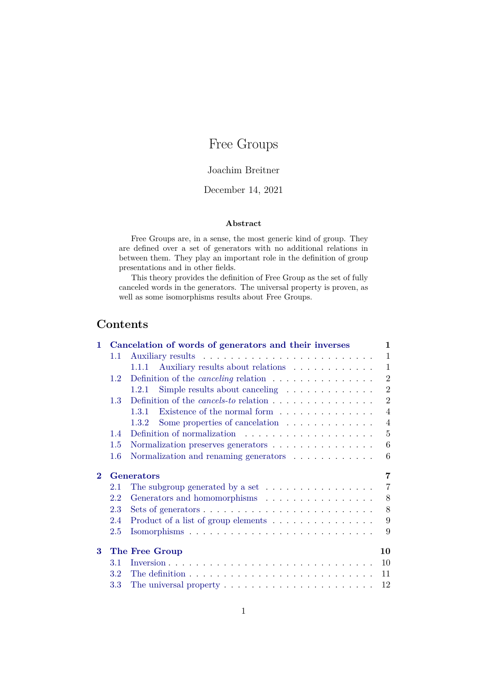# Free Groups

# Joachim Breitner

# December 14, 2021

#### **Abstract**

Free Groups are, in a sense, the most generic kind of group. They are defined over a set of generators with no additional relations in between them. They play an important role in the definition of group presentations and in other fields.

This theory provides the definition of Free Group as the set of fully canceled words in the generators. The universal property is proven, as well as some isomorphisms results about Free Groups.

# **Contents**

| 1.                          |                  | Cancelation of words of generators and their inverses                             | 1              |
|-----------------------------|------------------|-----------------------------------------------------------------------------------|----------------|
|                             | 1.1              |                                                                                   | 1              |
|                             |                  | Auxiliary results about relations<br>1.1.1                                        | 1              |
|                             | $1.2^{\circ}$    | Definition of the <i>canceling</i> relation $\ldots \ldots \ldots \ldots \ldots$  | $\overline{2}$ |
|                             |                  | Simple results about canceling $\dots \dots \dots \dots$<br>1.2.1                 | $\overline{2}$ |
|                             | 1.3 <sup>°</sup> | Definition of the <i>cancels-to</i> relation $\ldots \ldots \ldots \ldots \ldots$ | $\overline{2}$ |
|                             |                  | Existence of the normal form $\dots \dots \dots \dots$<br>1.3.1                   | 4              |
|                             |                  | Some properties of cancelation $\ldots \ldots \ldots \ldots$<br>1.3.2             | $\overline{4}$ |
|                             | 1.4              |                                                                                   | 5              |
|                             | 1.5              | Normalization preserves generators                                                | 6              |
|                             | 1.6              | Normalization and renaming generators $\ldots \ldots \ldots \ldots$               | 6              |
|                             |                  |                                                                                   |                |
| $\mathcal{D}_{\mathcal{L}}$ |                  | <b>Generators</b>                                                                 | 7              |
|                             | 2.1              |                                                                                   | $\overline{7}$ |
|                             | 2.2              | The subgroup generated by a set $\dots \dots \dots \dots \dots$                   | 8              |
|                             | 2.3              | Generators and homomorphisms                                                      | 8              |
|                             | 2.4              | Product of a list of group elements                                               | 9              |
|                             | 2.5              |                                                                                   | 9              |
| 3                           |                  |                                                                                   | 10             |
|                             | 3.1              | The Free Group                                                                    | 10             |
|                             | 3.2              |                                                                                   | 11             |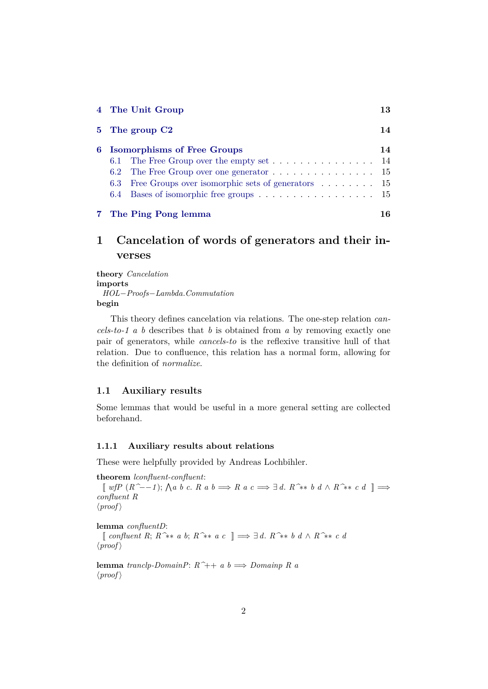| 4 The Unit Group |                                                                                      | 13 |
|------------------|--------------------------------------------------------------------------------------|----|
|                  | 5 The group C <sub>2</sub>                                                           | 14 |
|                  | 6 Isomorphisms of Free Groups                                                        | 14 |
|                  | 6.1 The Free Group over the empty set $\dots \dots \dots \dots \dots \dots$ 14       |    |
|                  | 6.2 The Free Group over one generator $\dots \dots \dots \dots \dots \dots \dots$ 15 |    |
|                  | 6.3 Free Groups over isomorphic sets of generators 15                                |    |
|                  | 6.4 Bases of isomorphic free groups 15                                               |    |
|                  | 7 The Ping Pong lemma                                                                | 16 |

# <span id="page-1-0"></span>**1 Cancelation of words of generators and their inverses**

**theory** *Cancelation* **imports** *HOL*−*Proofs*−*Lambda*.*Commutation* **begin**

This theory defines cancelation via relations. The one-step relation *cancels-to-1 a b* describes that *b* is obtained from *a* by removing exactly one pair of generators, while *cancels-to* is the reflexive transitive hull of that relation. Due to confluence, this relation has a normal form, allowing for the definition of *normalize*.

## <span id="page-1-1"></span>**1.1 Auxiliary results**

Some lemmas that would be useful in a more general setting are collected beforehand.

#### <span id="page-1-2"></span>**1.1.1 Auxiliary results about relations**

These were helpfully provided by Andreas Lochbihler.

**theorem** *lconfluent-confluent*: [[ *wfP* (*R^*−−*1* ); V *a b c*. *R a b* =⇒ *R a c* =⇒ ∃ *d*. *R^*∗∗ *b d* ∧ *R^*∗∗ *c d* ]] =⇒ *confluent R*  $\langle proof \rangle$ 

**lemma** *confluentD*:

[[ *confluent R*; *R^*∗∗ *a b*; *R^*∗∗ *a c* ]] =⇒ ∃ *d*. *R^*∗∗ *b d* ∧ *R^*∗∗ *c d*  $\langle proof \rangle$ 

**lemma** *tranclp-DomainP*: *R^*++ *a b* =⇒ *Domainp R a*  $\langle proof \rangle$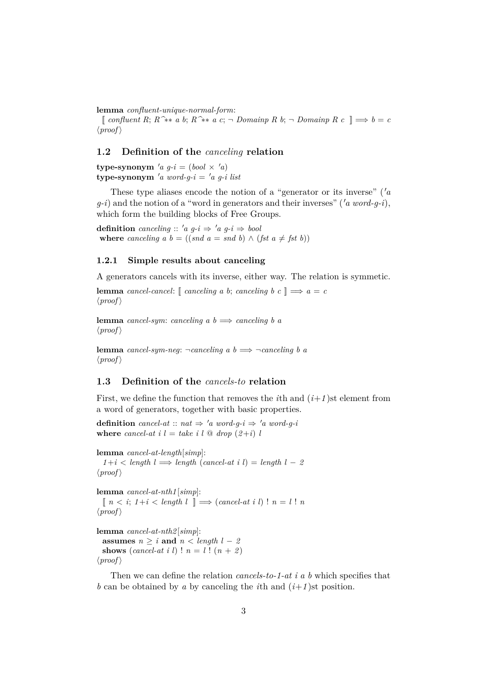**lemma** *confluent-unique-normal-form*:

[[ *confluent R*; *R^*∗∗ *a b*; *R^*∗∗ *a c*; ¬ *Domainp R b*; ¬ *Domainp R c* ]] =⇒ *b* = *c*  $\langle proof \rangle$ 

#### <span id="page-2-0"></span>**1.2 Definition of the** *canceling* **relation**

**type-synonym**  $'a \ q-i = (bool \times a)$ **type-synonym** 'a word-g-i = 'a g-i list

These type aliases encode the notion of a "generator or its inverse"  $(a \cdot a)$  $q-i$ ) and the notion of a "word in generators and their inverses" ('a word- $q-i$ ), which form the building blocks of Free Groups.

**definition** *canceling* :: '*a*  $q-i \Rightarrow 'a \ q-i \Rightarrow bool$ **where** *canceling*  $a \, b = ((\text{snd } a = \text{snd } b) \land (\text{fst } a \neq \text{fst } b))$ 

#### <span id="page-2-1"></span>**1.2.1 Simple results about canceling**

A generators cancels with its inverse, either way. The relation is symmetic.

**lemma** *cancel-cancel*:  $[$  *canceling a b*; *canceling b c*  $] \implies a = c$  $\langle proof \rangle$ 

**lemma** *cancel-sym*: *canceling a b*  $\implies$  *canceling b a*  $\langle proof \rangle$ 

**lemma** *cancel-sym-neg*:  $\neg$ *canceling a b*  $\implies \neg$ *canceling b a*  $\langle proof \rangle$ 

## <span id="page-2-2"></span>**1.3 Definition of the** *cancels-to* **relation**

First, we define the function that removes the *i*th and  $(i+1)$ st element from a word of generators, together with basic properties.

**definition** *cancel-at* ::  $nat \Rightarrow 'a$  *word-g-i*  $\Rightarrow 'a$  *word-g-i* **where** *cancel-at*  $i \, l = take \, i \, l \, \textcircled{a} \, drop \, (2+i) \, l$ 

```
lemma cancel-at-length[simp]:
  1+i < length l \implies length (\text{cancel-at } i l) = \text{length } l - 2\langle proof \rangle
```

```
lemma cancel-at-nth1 [simp]:
  [n < i; 1+i < length l] \implies (cancel{\text{ and } i} \ l) \cdot n = l! n\langle proof \rangle
```
**lemma** *cancel-at-nth2* [*simp*]: **assumes**  $n \geq i$  **and**  $n < length$   $l - 2$ **shows** (*cancel-at i l*) !  $n = l$  !  $(n + 2)$ 

 $\langle proof \rangle$ 

Then we can define the relation *cancels-to-1-at i a b* which specifies that *b* can be obtained by *a* by canceling the *i*th and  $(i+1)$ st position.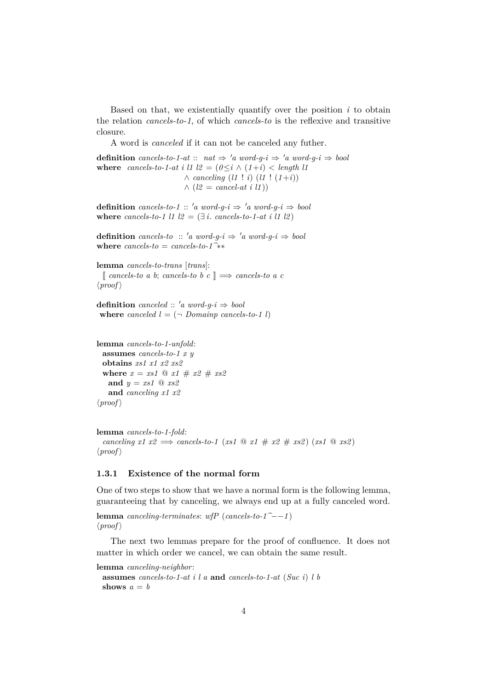Based on that, we existentially quantify over the position *i* to obtain the relation *cancels-to-1*, of which *cancels-to* is the reflexive and transitive closure.

A word is *canceled* if it can not be canceled any futher.

**definition** *cancels-to-1-at* :: *nat*  $\Rightarrow$  '*a word-q-i*  $\Rightarrow$  '*a word-q-i*  $\Rightarrow$  *bool* **where** *cancels-to-1-at i l1 l2* =  $(0 \leq i \land (1+i) < length$  l1 ∧ *canceling* (*l1* ! *i*) (*l1* ! (*1*+*i*))  $\wedge$  ( $l2 = \text{cancel-at } i \; l1$ ))

**definition** *cancels-to-1* :: 'a *word-q-i*  $\Rightarrow$  'a *word-q-i*  $\Rightarrow$  *bool* where *cancels-to-1* l1  $l2 = (\exists i$ . *cancels-to-1-at i l1 l2*)

**definition** *cancels-to* :: 'a *word-q-i*  $\Rightarrow$  'a *word-q-i*  $\Rightarrow$  *bool* **where**  $cancels-to = cancels-to-1^**$ 

**lemma** *cancels-to-trans* [*trans*]:  $\lceil \text{ cancels-to a b}; \text{ cancels-to b c} \rceil \Longrightarrow \text{ cancels-to a c}$  $\langle proof \rangle$ 

**definition** *canceled*  $:: 'a word-q-i \Rightarrow bool$ **where** *canceled*  $l = (\neg$  *Domainp cancels-to-1 l*)

```
lemma cancels-to-1-unfold:
 assumes cancels-to-1 x y
 obtains xs1 x1 x2 xs2
 where x = xs1 \text{ } @ x1 \# x2 \# xs2and y = xs1 @ xs2
   and canceling x1 x2
\langle proof \rangle
```

```
lemma cancels-to-1-fold:
  canceling x1 x2 \implies cancels-to-1 (xs1 \text{ @ } x1 \text{ # } x2 \text{ # } xs2) (xs1 \text{ @ } xs2)\langle proof \rangle
```
#### <span id="page-3-0"></span>**1.3.1 Existence of the normal form**

One of two steps to show that we have a normal form is the following lemma, guaranteeing that by canceling, we always end up at a fully canceled word.

**lemma** *canceling-terminates*: *wfP* ( $cancels-to-1^$ <sup>−</sup>−−1)  $\langle proof \rangle$ 

The next two lemmas prepare for the proof of confluence. It does not matter in which order we cancel, we can obtain the same result.

**lemma** *canceling-neighbor*:

```
assumes cancels-to-1-at i l a and cancels-to-1-at (Suc i) l b
shows a = b
```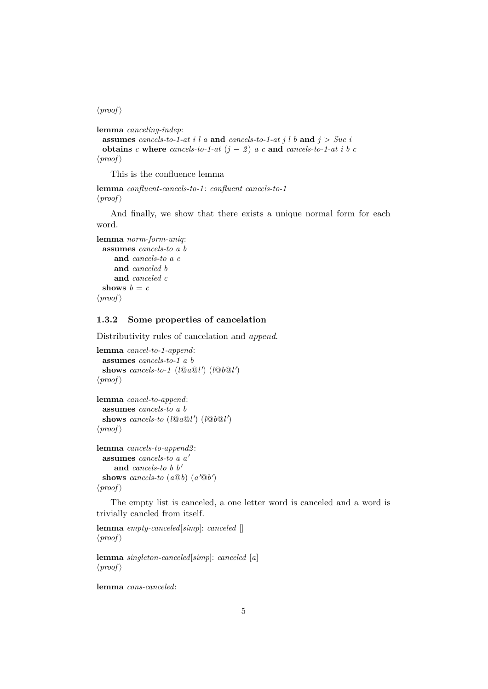#### $\langle proof \rangle$

```
lemma canceling-indep:
```

```
assumes cancels-to-1-at i l a and cancels-to-1-at j l b and j > Suc i
 obtains c where cancels-to-1-at (j - 2) a c and cancels-to-1-at i b c
\langle proof \rangle
```
This is the confluence lemma

```
lemma confluent-cancels-to-1 : confluent cancels-to-1
\langle proof \rangle
```
And finally, we show that there exists a unique normal form for each word.

```
lemma norm-form-uniq:
 assumes cancels-to a b
    and cancels-to a c
    and canceled b
    and canceled c
 shows b = c\langle proof \rangle
```
## <span id="page-4-0"></span>**1.3.2 Some properties of cancelation**

Distributivity rules of cancelation and *append*.

```
lemma cancel-to-1-append:
 assumes cancels-to-1 a b
  shows cancels-to-1 (l@a@l') (l@b@l')
\langle proof \rangle
```

```
lemma cancel-to-append:
 assumes cancels-to a b
  shows cancels-to (l@a@l') (l@b@l')\langle proof \rangle
```

```
lemma cancels-to-append2 :
 assumes cancels-to a a'
     and cancels-to b b'
  shows cancels-to (a@b) (a@b')\langle proof \rangle
```
The empty list is canceled, a one letter word is canceled and a word is trivially cancled from itself.

```
lemma empty-canceled[simp]: canceled []
\langle proof \rangle
```
**lemma** *singleton-canceled*[*simp*]: *canceled* [*a*]  $\langle proof \rangle$ 

**lemma** *cons-canceled*: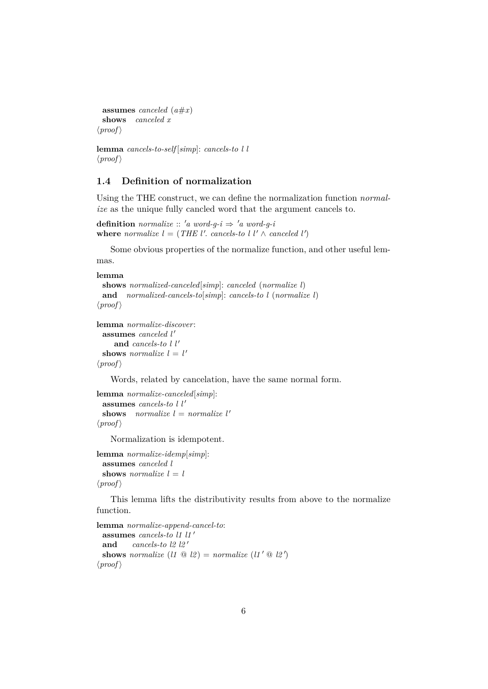```
assumes canceled (a#x)
 shows canceled x
\langle proof \rangle
```
**lemma** *cancels-to-self* [*simp*]: *cancels-to l l*  $\langle proof \rangle$ 

# <span id="page-5-0"></span>**1.4 Definition of normalization**

Using the THE construct, we can define the normalization function *normalize* as the unique fully cancled word that the argument cancels to.

**definition** *normalize* :: 'a word-g-i  $\Rightarrow$  'a word-g-i where *normalize*  $l = (THE \, l'. \, cancels-to \, l \, l' \wedge \, canceled \, l')$ 

Some obvious properties of the normalize function, and other useful lemmas.

#### **lemma**

```
shows normalized-canceled[simp]: canceled (normalize l)
 and normalized-cancels-to[simp]: cancels-to l (normalize l)
\langle proof \rangle
```

```
lemma normalize-discover:
 assumes canceled l'
     and cancels-to l l'
  shows normalize l = l'\langle proof \rangle
```
Words, related by cancelation, have the same normal form.

```
lemma normalize-canceled[simp]:
 assumes cancels-to l l'
 shows normalize l = normalize l'\langle proof \rangle
```
Normalization is idempotent.

```
lemma normalize-idemp[simp]:
 assumes canceled l
 shows normalize l = l\langle proof \rangle
```
This lemma lifts the distributivity results from above to the normalize function.

```
lemma normalize-append-cancel-to:
 assumes cancels-to 11 11'
 and cancels-to 12 \frac{12}{9}shows normalize (l1 \tQ l2) = normalize (l1' \tQ l2')\langle proof \rangle
```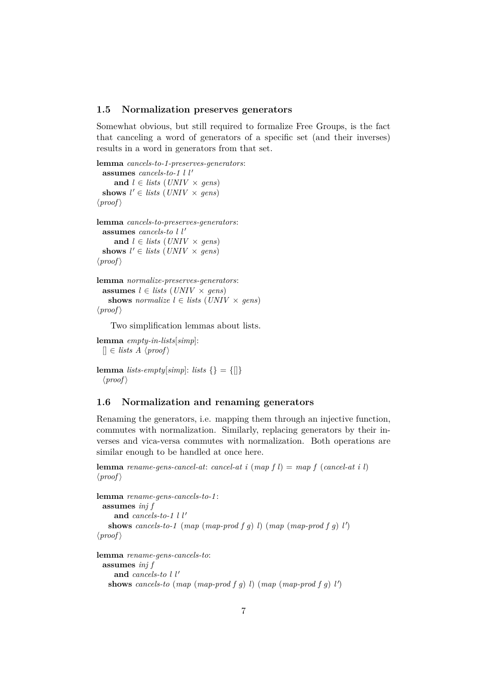#### <span id="page-6-0"></span>**1.5 Normalization preserves generators**

Somewhat obvious, but still required to formalize Free Groups, is the fact that canceling a word of generators of a specific set (and their inverses) results in a word in generators from that set.

```
lemma cancels-to-1-preserves-generators:
 assumes cancels-to-1 l l'
     and l \in lists (UNIV × gens)
  shows l' \in lists (UNIV \times gens)
\langle proof \ranglelemma cancels-to-preserves-generators:
 assumes cancels-to l l'
     and l \in lists (UNIV × gens)
  shows l' \in lists (UNIV \times gens)
\langle proof \ranglelemma normalize-preserves-generators:
```

```
assumes l \in lists (UNIV × gens)
   shows normalize l \in lists (UNIV \times qens)
\langle proof \rangle
```
Two simplification lemmas about lists.

**lemma** *empty-in-lists*[*simp*]:  $[$   $\in$  *lists A*  $\langle proof \rangle$ 

```
lemma lists-empty[simp]: lists \{\} = \{\|\}\langle proof \rangle
```
#### <span id="page-6-1"></span>**1.6 Normalization and renaming generators**

Renaming the generators, i.e. mapping them through an injective function, commutes with normalization. Similarly, replacing generators by their inverses and vica-versa commutes with normalization. Both operations are similar enough to be handled at once here.

**lemma** *rename-gens-cancel-at*: *cancel-at i* (*map f l*) = *map f* (*cancel-at i l*)  $\langle proof \rangle$ 

```
lemma rename-gens-cancels-to-1 :
 assumes inj f
     and cancels-to-1 l l'
   shows cancels-to-1 (map (map-prod f g) l) (map (map-prod f g) l')
\langle proof \rangle
```

```
lemma rename-gens-cancels-to:
 assumes inj f
     and cancels-to l l'
    shows cancels-to (map \ (map\ product\ f\ g\ )\ l) (map \ (map\ product\ f\ g\ )\ l')
```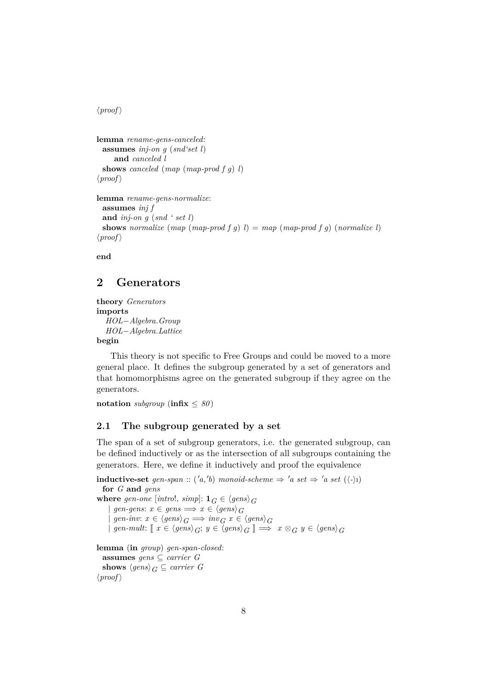$\langle proof \rangle$ 

```
lemma rename-gens-canceled:
 assumes inj-on g (snd'set l)
     and canceled l
 shows canceled (map (map-prod f g) l)
\langle proof \rangle
```

```
lemma rename-gens-normalize:
 assumes inj f
 and inj-on g (snd ' set l)
 shows normalize (map (map-prod f g) l) = map (map-prod f g) (normalize l)
\langle proof \rangle
```
**end**

# <span id="page-7-0"></span>**2 Generators**

```
theory Generators
imports
  HOL−Algebra.Group
  HOL−Algebra.Lattice
begin
```
This theory is not specific to Free Groups and could be moved to a more general place. It defines the subgroup generated by a set of generators and that homomorphisms agree on the generated subgroup if they agree on the generators.

**notation** *subgroup* ( $\text{infix} \leq 80$ )

# <span id="page-7-1"></span>**2.1 The subgroup generated by a set**

The span of a set of subgroup generators, i.e. the generated subgroup, can be defined inductively or as the intersection of all subgroups containing the generators. Here, we define it inductively and proof the equivalence

**inductive-set** gen-span :: ('a,'b) monoid-scheme  $\Rightarrow$  'a set  $\Rightarrow$  'a set ( $\langle \cdot \rangle$ ) **for** *G* **and** *gens* **where** gen-one [introl, simp]:  $\mathbf{1}_G \in \langle \text{gens} \rangle_G$  $gen-gens: x \in \text{gens} \Longrightarrow x \in \text{gens}_{G}$  $\left| \text{gen-inv: } x \in \langle \text{gens} \rangle_G \implies \text{inv}_G x \in \langle \text{gens} \rangle_G$  $\left| \varphi \right| \left| \varphi \right| \left| \varphi \right| \left| \varphi \right| \leq \left| \varphi \right| \left| \varphi \right| \leq \left| \varphi \right| \left| \varphi \right| \leq \left| \varphi \right| \left| \varphi \right| \leq \left| \varphi \right| \left| \varphi \right| \leq \left| \varphi \right| \left| \varphi \right| \leq \left| \varphi \right| \left| \varphi \right| \leq \left| \varphi \right| \left| \varphi \right| \leq \left| \varphi \right| \left| \varphi \right| \leq \left| \varphi \right| \left| \$ **lemma** (**in** *group*) *gen-span-closed*: **assumes** *gens* ⊆ *carrier G* **shows**  $\langle \text{gens} \rangle_G \subseteq \text{carrier } G$ 

 $\langle proof \rangle$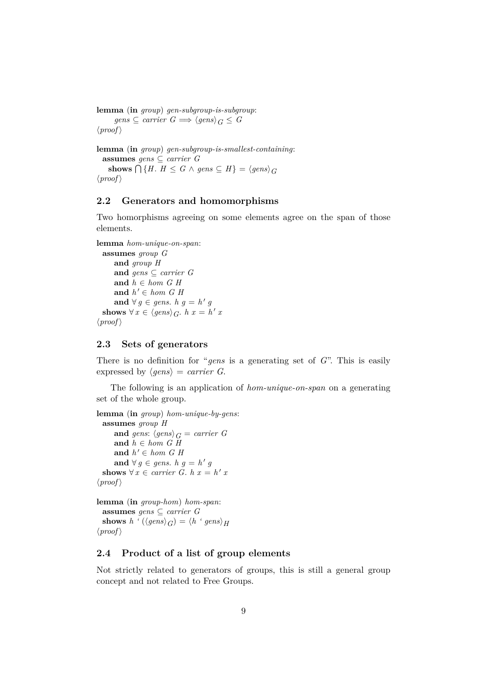**lemma** (**in** *group*) *gen-subgroup-is-subgroup*:  $gens \subseteq carrier \ G \Longrightarrow \langle genes \rangle_G \leq G$  $\langle proof \rangle$ 

**lemma** (**in** *group*) *gen-subgroup-is-smallest-containing*: **assumes** *gens* ⊆ *carrier G* **shows**  $\bigcap$  {*H*. *H* ≤ *G* ∧ *gens* ⊆ *H*} =  $\langle$ *gens* $\rangle$ <sub>*G*</sub>  $\langle proof \rangle$ 

## <span id="page-8-0"></span>**2.2 Generators and homomorphisms**

Two homorphisms agreeing on some elements agree on the span of those elements.

```
lemma hom-unique-on-span:
  assumes group G
     and group H
     and gens ⊆ carrier G
     and h \in hom \ G \ Hand h' \in hom \ G \ Hand ∀ g ∈ gens. h g = h<sup>'</sup> g
  shows \forall x \in \langle \text{gens} \rangle_G. h x = h' x
\langle proof \rangle
```
### <span id="page-8-1"></span>**2.3 Sets of generators**

There is no definition for "*gens* is a generating set of *G*". This is easily expressed by  $\langle \text{gens} \rangle = \text{carrier } G$ .

The following is an application of *hom-unique-on-span* on a generating set of the whole group.

```
lemma (in group) hom-unique-by-gens:
  assumes group H
     and gens: \langle \text{gens} \rangle_G = \text{carrier } Gand h ∈ hom G H
      and h' \in hom \ G \ Hand ∀ g ∈ gens. h g = h<sup>'</sup> g
  shows \forall x \in carrier \ G. \ h \ x = h' \ x\langle proof \ranglelemma (in group-hom) hom-span:
```
**assumes** *gens* ⊆ *carrier G* **shows**  $h'(\langle \text{gens} \rangle_G) = \langle h' \text{gens} \rangle_H$  $\langle proof \rangle$ 

## <span id="page-8-2"></span>**2.4 Product of a list of group elements**

Not strictly related to generators of groups, this is still a general group concept and not related to Free Groups.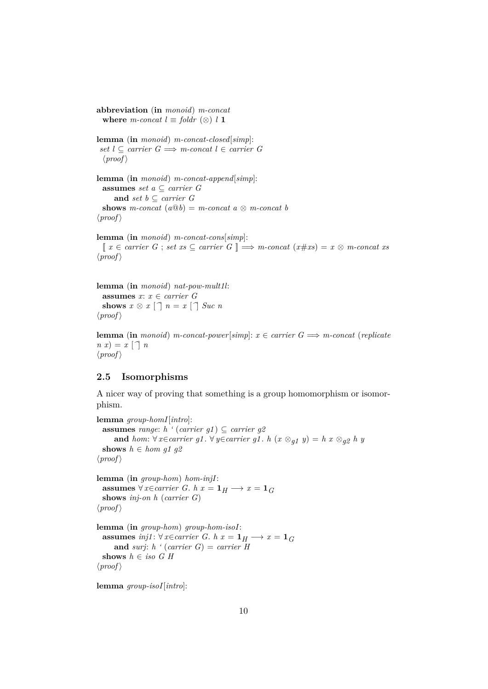**abbreviation** (**in** *monoid*) *m-concat* **where** *m-concat*  $l \equiv$  *foldr* (⊗) *l* 1

**lemma** (**in** *monoid*) *m-concat-closed*[*simp*]:  $set$  *l* ⊂ *carrier G*  $\implies$  *m*-concat *l* ∈ *carrier G*  $\langle proof \rangle$ 

**lemma** (**in** *monoid*) *m-concat-append*[*simp*]: **assumes** *set a* ⊆ *carrier G* **and** *set*  $b$  ⊆ *carrier G* **shows** *m*-concat  $(a@b) = m$ -concat  $a \otimes m$ -concat  $b$  $\langle proof \rangle$ 

**lemma** (**in** *monoid*) *m-concat-cons*[*simp*]: [[ *x* ∈ *carrier G* ; *set xs* ⊆ *carrier G* ]] =⇒ *m-concat* (*x*#*xs*) = *x* ⊗ *m-concat xs*  $\langle proof \rangle$ 

```
lemma (in monoid) nat-pow-mult1l:
 assumes x: x \in carrier \ Gshows x \otimes x [\cap] n = x [\cap] Suc n
\langle proof \rangle
```
**lemma** (**in** *monoid*) *m-concat-power*[ $simpl$ :  $x \in carrier \ G \Longrightarrow m\text{-}concat \ (replicate$  $n(x) = x \cap n$  $\langle proof \rangle$ 

#### <span id="page-9-0"></span>**2.5 Isomorphisms**

A nicer way of proving that something is a group homomorphism or isomorphism.

```
lemma group-homI[intro]:
 assumes range: h \cdot (carrier g1) \subseteq carrier g2
     and hom: ∀ x∈carrier g1. ∀ y∈carrier g1. h (x ⊗<sub><i>g1</sub> y) = h x ⊗<sub><i>g2</sub> h y</sub>
 shows h \in hom \ g1 \ g2\langle proof \ranglelemma (in group-hom) hom-injI:
 assumes ∀ x∈carrier G. h x = 1H → x = 1G
 shows inj-on h (carrier G)
\langle proof \ranglelemma (in group-hom) group-hom-isoI:
 assumes inj1: ∀ x∈carrier G. h x = 1H → x = 1G
     and surj: h ' (carrier G) = carrier H
 shows h ∈ iso G H
\langle proof \rangle
```
**lemma** *group-isoI*[*intro*]: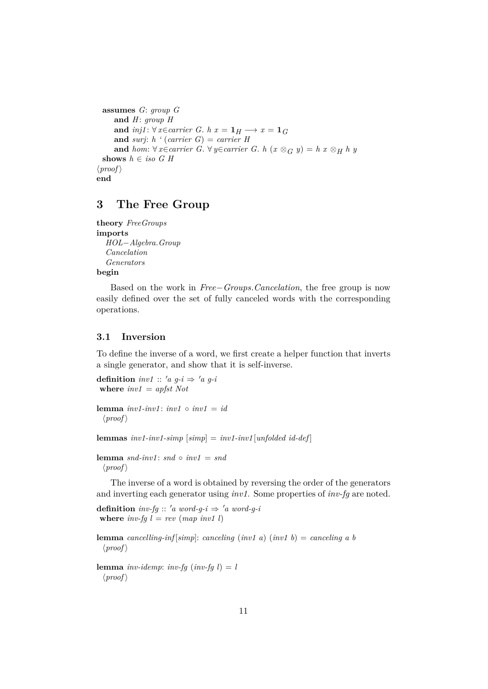```
assumes G: group G
     and H: group H
     and inj1: \forall x \in carrier \ G. \ h \ x = \mathbf{1}_H \longrightarrow x = \mathbf{1}_Gand surj: h ' (carrier G) = carrier H
     and hom: ∀ x∈carrier G. ∀ y∈carrier G. h (x ⊗G y) = h x ⊗H h y
  shows h \in iso \ G \ H\langle proof \rangleend
```
# <span id="page-10-0"></span>**3 The Free Group**

```
theory FreeGroups
imports
  HOL−Algebra.Group
  Cancelation
  Generators
begin
```
Based on the work in *Free*−*Groups*.*Cancelation*, the free group is now easily defined over the set of fully canceled words with the corresponding operations.

### <span id="page-10-1"></span>**3.1 Inversion**

To define the inverse of a word, we first create a helper function that inverts a single generator, and show that it is self-inverse.

```
definition inv1 :: 'a \ g-i \Rightarrow 'a \ g-iwhere inv1 = apfst Not
```

```
lemma inv1-inv1: inv1 \circ inv1 = id\langle proof \rangle
```
**lemmas** *inv1-inv1-simp* [*simp*] = *inv1-inv1* [*unfolded id-def* ]

**lemma**  $snd\text{-}inv1$ :  $snd \circ inv1 = snd$  $\langle proof \rangle$ 

The inverse of a word is obtained by reversing the order of the generators and inverting each generator using *inv1*. Some properties of *inv-fg* are noted.

**definition** *inv-fg* :: '*a word-g-i*  $\Rightarrow$  '*a word-g-i* **where**  $inv-fg \, l = rev \, (map \, inv1 \, l)$ 

**lemma** *cancelling-inf* [*simp*]: *canceling* (*inv1 a*) (*inv1 b*) = *canceling a b*  $\langle proof \rangle$ 

**lemma** *inv-idemp*: *inv-fg* (*inv-fg*  $l$ ) = *l*  $\langle proof \rangle$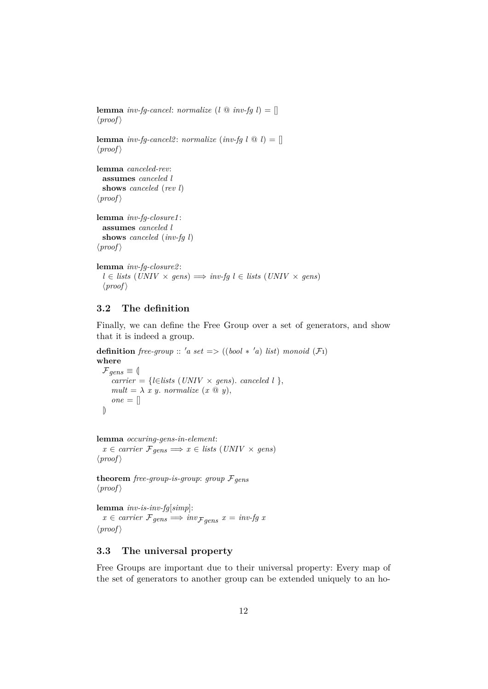**lemma** *inv-fg-cancel*: *normalize*  $(l \otimes inv\text{-}fg l) = []$  $\langle proof \rangle$ **lemma** *inv-fq-cancel2*: *normalize* (*inv-fq*  $l \text{ } @ l) = []$  $\langle proof \rangle$ **lemma** *canceled-rev*: **assumes** *canceled l* **shows** *canceled* (*rev l*)  $\langle proof \rangle$ **lemma** *inv-fg-closure1* : **assumes** *canceled l* **shows** *canceled* (*inv-fg l*)  $\langle proof \rangle$ **lemma** *inv-fg-closure2* : *l* ∈ *lists* (*UNIV* × *gens*)  $\implies$  *inv-fg l* ∈ *lists* (*UNIV* × *gens*)  $\langle proof \rangle$ 

# <span id="page-11-0"></span>**3.2 The definition**

Finally, we can define the Free Group over a set of generators, and show that it is indeed a group.

**definition** *free-group* :: 'a set => ((*bool* \* 'a) *list*) *monoid* ( $\mathcal{F}$ 1) **where**  $\mathcal{F}_{qens} \equiv \emptyset$  $\overline{c}$  *carrier* = {*l*∈*lists* (*UNIV* × *gens*). *canceled l* },  $mult = \lambda x y$ *, normalize*  $(x \otimes y)$ *,*  $one = []$ |)

**lemma** *occuring-gens-in-element*:  $x \in carrier \; \mathcal{F}_{gens} \Longrightarrow x \in lists \; (UNIV \times gens)$ 

 $\langle proof \rangle$ 

**theorem** *free-group-is-group*: *group*  $F_{gens}$  $\langle proof \rangle$ 

**lemma** *inv-is-inv-fg*[*simp*]:  $x \in carrier \mathcal{F}_{gens} \Longrightarrow inv_{\mathcal{F}_{gens}} x = invfg \; x$  $\langle proof \rangle$ 

## <span id="page-11-1"></span>**3.3 The universal property**

Free Groups are important due to their universal property: Every map of the set of generators to another group can be extended uniquely to an ho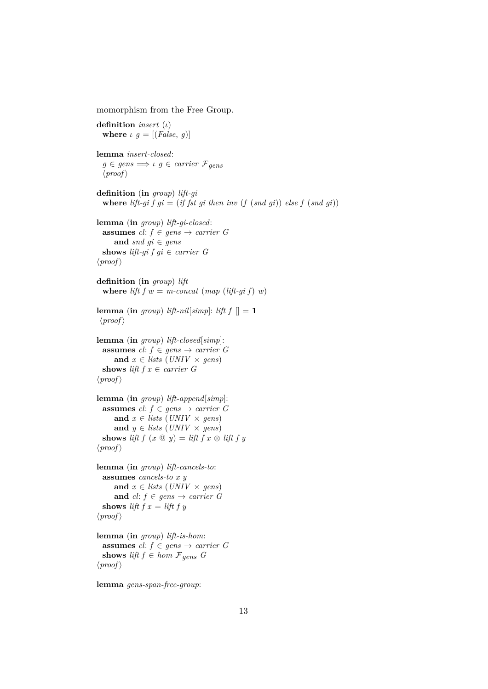momorphism from the Free Group. **definition** *insert* (ι) **where**  $\iota$   $g = [(False, g)]$ **lemma** *insert-closed*:  $g \in \text{gens} \Longrightarrow \iota \ g \in \text{carrier } \mathcal{F}_{\text{gens}}$  $\langle proof \rangle$ **definition** (**in** *group*) *lift-gi* **where**  $lift-gi f g i = (if f st g i then inv (f (snd g i)) else f (snd g i))$ **lemma** (**in** *group*) *lift-gi-closed*: **assumes**  $cl: f \in \text{gens} \rightarrow \text{carrier } G$ **and**  $\text{snd } \text{gi} \in \text{gens}$ **shows** *lift-gi f gi*  $\in$  *carrier G*  $\langle proof \rangle$ **definition** (**in** *group*) *lift* **where** *lift*  $f w = m\text{-}concat \ (map \ (lift\text{-}gi \ f) \ w)$ **lemma** (**in** *group*) *lift-nil*[*simp*]: *lift f*  $[] = 1$  $\langle proof \rangle$ **lemma** (**in** *group*) *lift-closed*[*simp*]: **assumes**  $cl: f \in \text{gens} \rightarrow \text{carrier } G$ and  $x \in \text{lists} \left( \text{UNIV} \times \text{gens} \right)$ **shows** *lift*  $f x \in carrier \ G$  $\langle proof \rangle$ **lemma** (**in** *group*) *lift-append*[*simp*]: **assumes**  $cl: f \in \text{gens} \rightarrow \text{carrier } G$ and  $x \in \text{lists (UNIV} \times \text{gens)}$ **and**  $y \in \text{lists (UNIV} \times \text{gens)}$ **shows** *lift*  $f(x \oplus y) = \text{lift } f(x \otimes \text{ lift } f(y)$  $\langle proof \rangle$ **lemma** (**in** *group*) *lift-cancels-to*: **assumes** *cancels-to x y* **and**  $x \in \text{lists}$  (*UNIV* × *gens*) **and**  $cl: f \in \text{gens} \rightarrow \text{carrier } G$ **shows** *lift*  $f x = l$ *ift*  $f y$  $\langle proof \rangle$ **lemma** (**in** *group*) *lift-is-hom*: **assumes**  $cl: f \in \text{gens} \rightarrow \text{carrier } G$ **shows** *lift*  $f \in hom \mathcal{F}_{gens}$  *G*  $\langle proof \rangle$ **lemma** *gens-span-free-group*: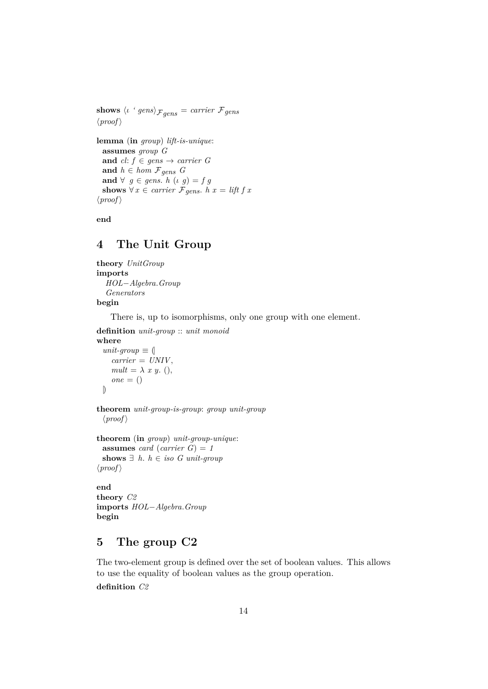**shows**  $\langle \iota \, 'gens \rangle_{\mathcal{F}gens} = carrier \, \mathcal{F}gens$  $\langle proof \rangle$ 

**lemma** (**in** *group*) *lift-is-unique*: **assumes** *group G* **and**  $cl: f \in \text{gens} \rightarrow \text{carrier } G$ and  $h \in hom \mathcal{F}_{gens}$  *G* **and**  $\forall g \in \text{gens. } h (g) = fg$ **shows** ∀ *x* ∈ *carrier*  $\mathcal{F}_{gens}$ . *h x* = *lift f x*  $\langle proof \rangle$ 

**end**

# <span id="page-13-0"></span>**4 The Unit Group**

**theory** *UnitGroup* **imports** *HOL*−*Algebra*.*Group Generators* **begin**

There is, up to isomorphisms, only one group with one element.

**definition** *unit-group* :: *unit monoid*

#### **where**

```
unit-group \equiv (carrier = UNIV ,
  mult = \lambda x y. (),
  one = ()|)
```

```
theorem unit-group-is-group: group unit-group
  \langle proof \rangle
```

```
theorem (in group) unit-group-unique:
 assumes card (carrier G) = 1
 shows ∃ h. h ∈ iso G unit-group
\langle proof \rangle
```
**end theory** *C2* **imports** *HOL*−*Algebra*.*Group* **begin**

# <span id="page-13-1"></span>**5 The group C2**

The two-element group is defined over the set of boolean values. This allows to use the equality of boolean values as the group operation. **definition** *C2*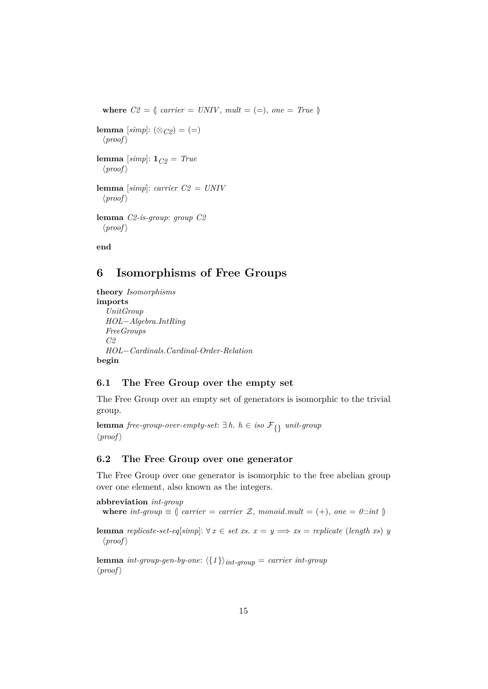where  $C2 = \int \text{carrier} = \text{UNIV}, \text{mult} = (=), \text{ one} = \text{True} \uparrow$ **lemma**  $[simp]$ :  $(\otimes_{C2}) = (=)$  $\langle proof \rangle$ **lemma** [*simp*]: 1*C2* = *True*  $\langle proof \rangle$ **lemma** [*simp*]: *carrier C2* = *UNIV*  $\langle proof \rangle$ **lemma** *C2-is-group*: *group C2*  $\langle proof \rangle$ **end**

# <span id="page-14-0"></span>**6 Isomorphisms of Free Groups**

```
theory Isomorphisms
imports
  UnitGroup
  HOL−Algebra.IntRing
  FreeGroups
  C2
  HOL−Cardinals.Cardinal-Order-Relation
begin
```
#### <span id="page-14-1"></span>**6.1 The Free Group over the empty set**

The Free Group over an empty set of generators is isomorphic to the trivial group.

**lemma** *free-group-over-empty-set*: ∃ *h*. *h* ∈ *iso* F{} *unit-group*  $\langle proof \rangle$ 

#### <span id="page-14-2"></span>**6.2 The Free Group over one generator**

The Free Group over one generator is isomorphic to the free abelian group over one element, also known as the integers.

```
abbreviation int-group
```
**where**  $int-group \equiv \int carrier = carrier \mathcal{Z}$ ,  $monoid.mult = (+)$ ,  $one = 0$ ::*int*  $\parallel$ 

**lemma** *replicate-set-eq*[*simp*]:  $\forall x \in set xs. x = y \Longrightarrow xs = replicate (length xs) y$  $\langle proof \rangle$ 

**lemma** *int-group-gen-by-one*:  $\langle \{1\} \rangle$ *int-group* = *carrier int-group*  $\langle proof \rangle$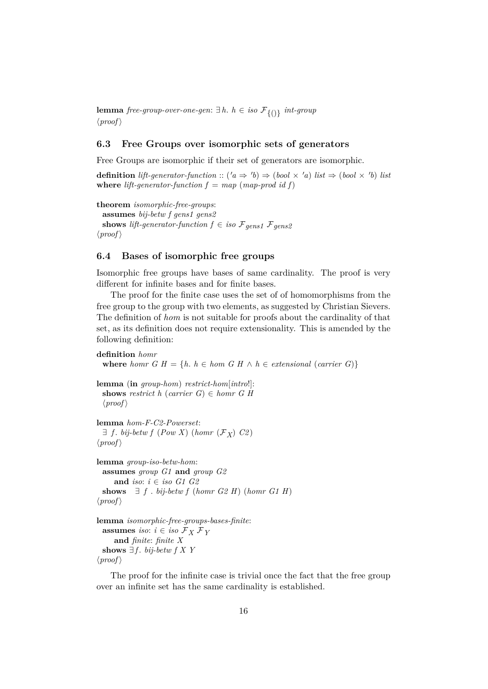**lemma** *free-group-over-one-gen*: ∃ *h*. *h* ∈ *iso* F{()} *int-group*  $\langle proof \rangle$ 

#### <span id="page-15-0"></span>**6.3 Free Groups over isomorphic sets of generators**

Free Groups are isomorphic if their set of generators are isomorphic.

**definition** lift-generator-function ::  $(a \Rightarrow 'b) \Rightarrow (bool \times 'a)$  list  $\Rightarrow (bool \times 'b)$  list **where** *lift-generator-function*  $f = map (map-productid f)$ 

```
theorem isomorphic-free-groups:
  assumes bij-betw f gens1 gens2
  shows lift-generator-function f \in iso \mathcal{F}_{gens1} \mathcal{F}_{gens2}\langle proof \rangle
```
#### <span id="page-15-1"></span>**6.4 Bases of isomorphic free groups**

Isomorphic free groups have bases of same cardinality. The proof is very different for infinite bases and for finite bases.

The proof for the finite case uses the set of of homomorphisms from the free group to the group with two elements, as suggested by Christian Sievers. The definition of *hom* is not suitable for proofs about the cardinality of that set, as its definition does not require extensionality. This is amended by the following definition:

```
definition homr
  where homr G H = \{h : h \in hom G H \land h \in extensional (carrier G)\}lemma (in group-hom) restrict-hom[intro!]:
 shows restrict h (carrier G) \in homr G H
  \langle proof \ranglelemma hom-F-C2-Powerset:
  \exists f. bij-betw f (Pow X) (homr (\mathcal{F}_X) C2)
\langle proof \ranglelemma group-iso-betw-hom:
```

```
assumes group G1 and group G2
     and iso: i \in iso G1 G2
 shows \exists f . bij-betw f (homr G2 H) (homr G1 H)
\langle proof \ranglelemma isomorphic-free-groups-bases-finite:
  assumes iso: i \in iso \mathcal{F}_X \mathcal{F}_Yand finite: finite X
 shows ∃f. bij-betw f X Y
```
 $\langle proof \rangle$ 

The proof for the infinite case is trivial once the fact that the free group over an infinite set has the same cardinality is established.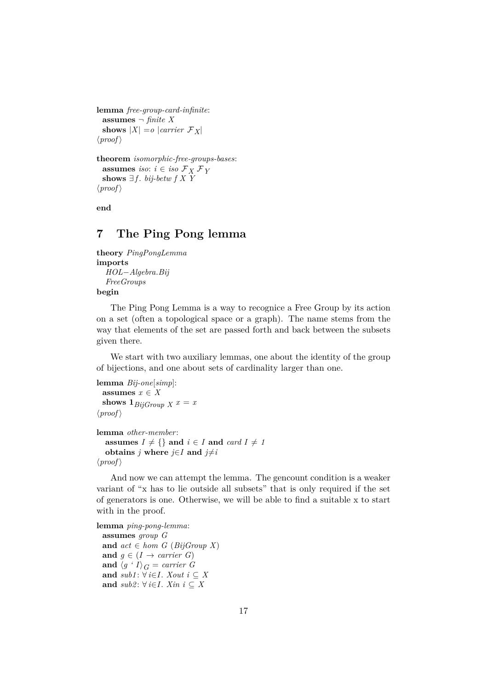```
lemma free-group-card-infinite:
  assumes ¬ finite X
  shows |X| = o |carrier \mathcal{F}_X|
\langle proof \rangle
```

```
theorem isomorphic-free-groups-bases:
  assumes iso: i \in iso \mathcal{F}_X \mathcal{F}_Yshows ∃f. bij-betw f X Y
\langle proof \rangle
```
**end**

# <span id="page-16-0"></span>**7 The Ping Pong lemma**

```
theory PingPongLemma
imports
  HOL−Algebra.Bij
  FreeGroups
begin
```
The Ping Pong Lemma is a way to recognice a Free Group by its action on a set (often a topological space or a graph). The name stems from the way that elements of the set are passed forth and back between the subsets given there.

We start with two auxiliary lemmas, one about the identity of the group of bijections, and one about sets of cardinality larger than one.

```
lemma Bij-one[simp]:
 assumes x \in Xshows 1_{BiGroup X} x = x\langle proof \ranglelemma other-member:
  assumes I \neq \{\} and i \in I and card I \neq Iobtains j where j \in I and j \neq i\langle proof \rangle
```
And now we can attempt the lemma. The gencount condition is a weaker variant of "x has to lie outside all subsets" that is only required if the set of generators is one. Otherwise, we will be able to find a suitable x to start with in the proof.

```
lemma ping-pong-lemma:
 assumes group G
 and act ∈ hom G (BijGroup X)and q \in (I \rightarrow carrier \ G)and \langle g \cdot I \rangle_G = carrier \ Gand sub1: ∀ i∈I. Xout i ⊆ Xand sub2: ∀ i∈I. Xin i \subseteq X
```